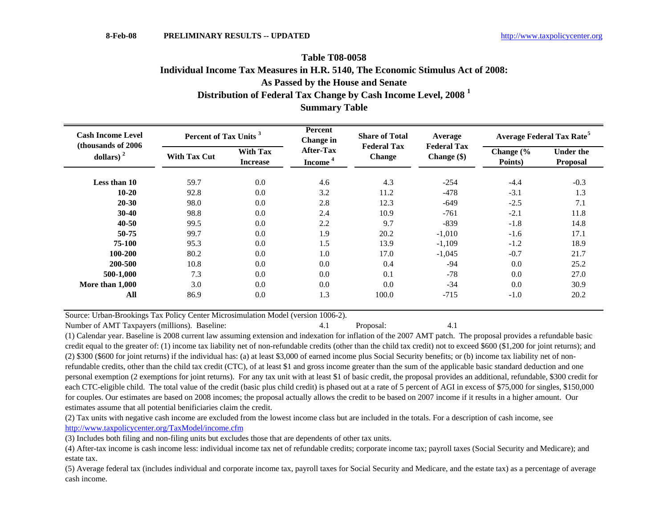## **Table T08-0058Summary Table Distribution of Federal Tax Change by Cash Income Level, 2008 <sup>1</sup> Individual Income Tax Measures in H.R. 5140, The Economic Stimulus Act of 2008: As Passed by the House and Senate**

| <b>Cash Income Level</b><br>(thousands of 2006)<br>dollars) $2$ | Percent of Tax Units <sup>3</sup> |                                    | Percent<br><b>Change</b> in      | <b>Share of Total</b>               | Average                             | <b>Average Federal Tax Rate<sup>5</sup></b> |                              |  |
|-----------------------------------------------------------------|-----------------------------------|------------------------------------|----------------------------------|-------------------------------------|-------------------------------------|---------------------------------------------|------------------------------|--|
|                                                                 | <b>With Tax Cut</b>               | <b>With Tax</b><br><b>Increase</b> | After-Tax<br>Income <sup>4</sup> | <b>Federal Tax</b><br><b>Change</b> | <b>Federal Tax</b><br>Change $(\$)$ | Change (%<br>Points)                        | <b>Under the</b><br>Proposal |  |
| Less than 10                                                    | 59.7                              | 0.0                                | 4.6                              | 4.3                                 | $-254$                              | $-4.4$                                      | $-0.3$                       |  |
| $10 - 20$                                                       | 92.8                              | 0.0                                | 3.2                              | 11.2                                | $-478$                              | $-3.1$                                      | 1.3                          |  |
| $20 - 30$                                                       | 98.0                              | $0.0\,$                            | 2.8                              | 12.3                                | $-649$                              | $-2.5$                                      | 7.1                          |  |
| $30-40$                                                         | 98.8                              | 0.0                                | 2.4                              | 10.9                                | $-761$                              | $-2.1$                                      | 11.8                         |  |
| $40 - 50$                                                       | 99.5                              | 0.0                                | 2.2                              | 9.7                                 | $-839$                              | $-1.8$                                      | 14.8                         |  |
| $50 - 75$                                                       | 99.7                              | 0.0                                | 1.9                              | 20.2                                | $-1,010$                            | $-1.6$                                      | 17.1                         |  |
| 75-100                                                          | 95.3                              | 0.0                                | 1.5                              | 13.9                                | $-1,109$                            | $-1.2$                                      | 18.9                         |  |
| 100-200                                                         | 80.2                              | 0.0                                | 1.0                              | 17.0                                | $-1,045$                            | $-0.7$                                      | 21.7                         |  |
| 200-500                                                         | 10.8                              | 0.0                                | 0.0                              | 0.4                                 | $-94$                               | 0.0                                         | 25.2                         |  |
| 500-1,000                                                       | 7.3                               | 0.0                                | 0.0                              | 0.1                                 | $-78$                               | 0.0                                         | 27.0                         |  |
| More than 1,000                                                 | 3.0                               | 0.0                                | 0.0                              | 0.0                                 | $-34$                               | 0.0                                         | 30.9                         |  |
| All                                                             | 86.9                              | 0.0                                | 1.3                              | 100.0                               | $-715$                              | $-1.0$                                      | 20.2                         |  |
|                                                                 |                                   |                                    |                                  |                                     |                                     |                                             |                              |  |

Source: Urban-Brookings Tax Policy Center Microsimulation Model (version 1006-2).

Number of AMT Taxpayers (millions). Baseline: 4.1 Proposal: 4.1

(1) Calendar year. Baseline is 2008 current law assuming extension and indexation for inflation of the 2007 AMT patch. The proposal provides a refundable basic credit equal to the greater of: (1) income tax liability net of non-refundable credits (other than the child tax credit) not to exceed \$600 (\$1,200 for joint returns); and (2) \$300 (\$600 for joint returns) if the individual has: (a) at least \$3,000 of earned income plus Social Security benefits; or (b) income tax liability net of nonrefundable credits, other than the child tax credit (CTC), of at least \$1 and gross income greater than the sum of the applicable basic standard deduction and one personal exemption (2 exemptions for joint returns). For any tax unit with at least \$1 of basic credit, the proposal provides an additional, refundable, \$300 credit for each CTC-eligible child. The total value of the credit (basic plus child credit) is phased out at a rate of 5 percent of AGI in excess of \$75,000 for singles, \$150,000 for couples. Our estimates are based on 2008 incomes; the proposal actually allows the credit to be based on 2007 income if it results in a higher amount. Our estimates assume that all potential benificiaries claim the credit.

(2) Tax units with negative cash income are excluded from the lowest income class but are included in the totals. For a description of cash income, see http://www.taxpolicycenter.org/TaxModel/income.cfm

(3) Includes both filing and non-filing units but excludes those that are dependents of other tax units.

(4) After-tax income is cash income less: individual income tax net of refundable credits; corporate income tax; payroll taxes (Social Security and Medicare); and estate tax.

(5) Average federal tax (includes individual and corporate income tax, payroll taxes for Social Security and Medicare, and the estate tax) as a percentage of average cash income.